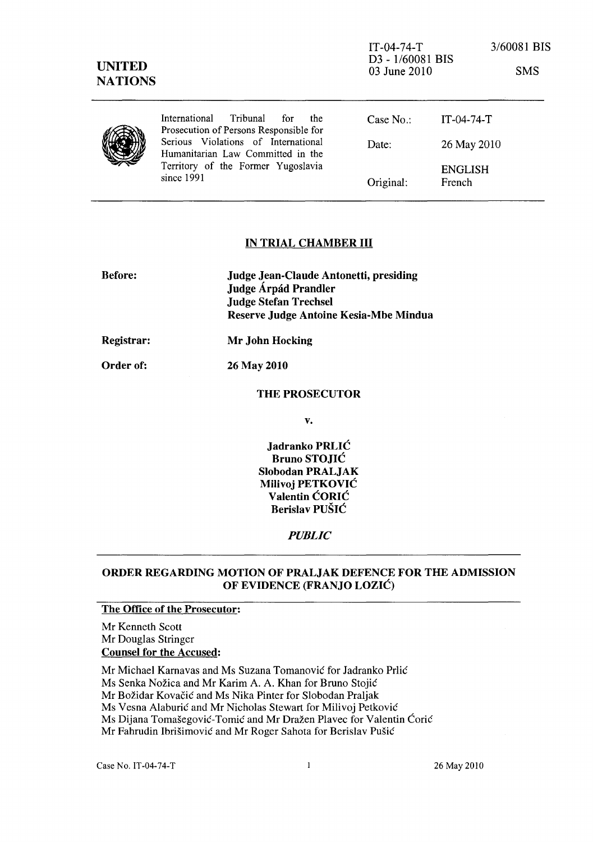| <b>UNITED</b><br><b>NATIONS</b> |                                                                                                                              | $IT-04-74-T$<br>D3 - 1/60081 BIS<br>03 June 2010 |                          | 3/60081 BIS<br><b>SMS</b> |
|---------------------------------|------------------------------------------------------------------------------------------------------------------------------|--------------------------------------------------|--------------------------|---------------------------|
|                                 | International<br>Tribunal<br>the<br>for<br>Prosecution of Persons Responsible for                                            | Case $No.$ :                                     | $IT-04-74-T$             |                           |
|                                 | Serious Violations of International<br>Humanitarian Law Committed in the<br>Territory of the Former Yugoslavia<br>since 1991 | Date:                                            | 26 May 2010              |                           |
|                                 |                                                                                                                              | Original:                                        | <b>ENGLISH</b><br>French |                           |

# IN TRIAL CHAMBER **III**

| <b>Before:</b> | <b>Judge Jean-Claude Antonetti, presiding</b><br>Judge Árpád Prandler<br><b>Judge Stefan Trechsel</b><br>Reserve Judge Antoine Kesia-Mbe Mindua |  |
|----------------|-------------------------------------------------------------------------------------------------------------------------------------------------|--|
| Registrar:     | Mr John Hocking                                                                                                                                 |  |

Order of: 26 May 2010

# THE PROSECUTOR

v.

Jadranko PRLIC Bruno STOJIC Slobodan PRALJAK Milivoj PETKOVIC Valentin CORIC Berislav PUSIC

### *PUBLIC*

## ORDER REGARDING MOTION OF PRALJAK DEFENCE FOR THE ADMISSION OF EVIDENCE (FRANJO LOZIC)

### The Office of the Prosecutor:

Mr Kenneth Scott Mr Douglas Stringer Counsel for the Accused:

Mr Michael Karnavas and Ms Suzana Tomanović for Jadranko Prlić Ms Senka Nožica and Mr Karim A. A. Khan for Bruno Stojić

Mr Božidar Kovačić and Ms Nika Pinter for Slobodan Praljak

Ms Vesna Alaburić and Mr Nicholas Stewart for Milivoj Petković

Ms Dijana Tomašegović-Tomić and Mr Dražen Plavec for Valentin Ćorić

Mr Fahrudin Ibrišimović and Mr Roger Sahota for Berislav Pušić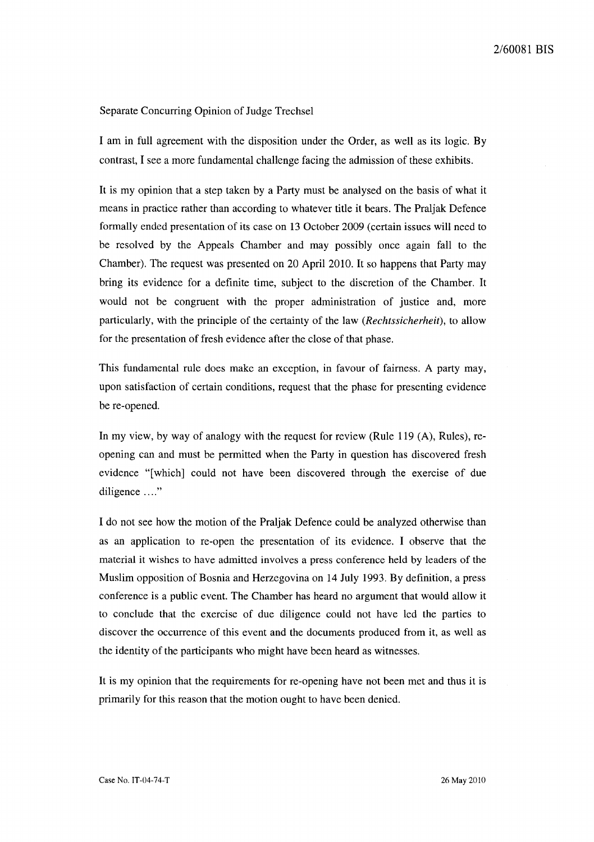## Separate Concurring Opinion of Judge Trechsel

I am in full agreement with the disposition under the Order, as well as its logic. By contrast, I see a more fundamental challenge facing the admission of these exhibits.

It is my opinion that a step taken by a Party must be analysed on the basis of what it means in practice rather than according to whatever title it bears. The Praljak Defence formally ended presentation of its case on 13 October 2009 (certain issues will need to be resolved by the Appeals Chamber and may possibly once again fall to the Chamber). The request was presented on 20 April 2010. It so happens that Party may bring its evidence for a definite time, subject to the discretion of the Chamber. It would not be congruent with the proper administration of justice and, more particularly, with the principle of the certainty of the law *(Rechtssicherheit),* to allow for the presentation of fresh evidence after the close of that phase.

This fundamental rule does make an exception, in favour of fairness. A party may, upon satisfaction of certain conditions, request that the phase for presenting evidence be re-opened.

In my view, by way of analogy with the request for review (Rule 119 (A), Rules), reopening can and must be permitted when the Party in question has discovered fresh evidence "[which] could not have been discovered through the exercise of due diligence ...."

I do not see how the motion of the Praljak Defence could be analyzed otherwise than as an application to re-open the presentation of its evidence. I observe that the material it wishes to have admitted involves a press conference held by leaders of the Muslim opposition of Bosnia and Herzegovina on 14 July 1993. By definition, a press conference is a public event. The Chamber has heard no argument that would allow it to conclude that the exercise of due diligence could not have led the parties to discover the occurrence of this event and the documents produced from it, as well as the identity of the participants who might have been heard as witnesses.

It is my opinion that the requirements for re-opening have not been met and thus it is primarily for this reason that the motion ought to have been denied.